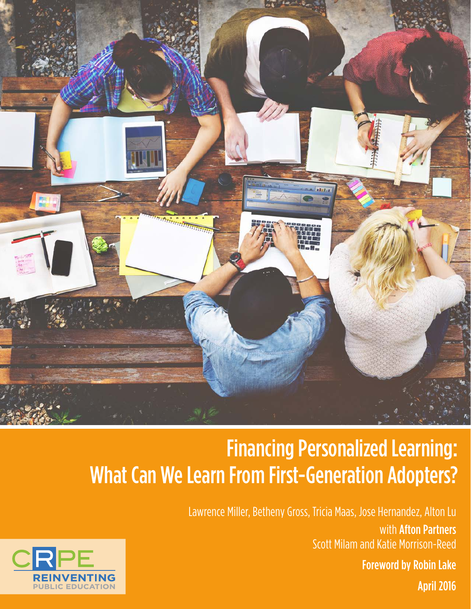

# Financing Personalized Learning: What Can We Learn From First-Generation Adopters?

Lawrence Miller, Betheny Gross, Tricia Maas, Jose Hernandez, Alton Lu with Afton Partners Scott Milam and Katie Morrison-Reed Foreword by Robin Lake April 2016

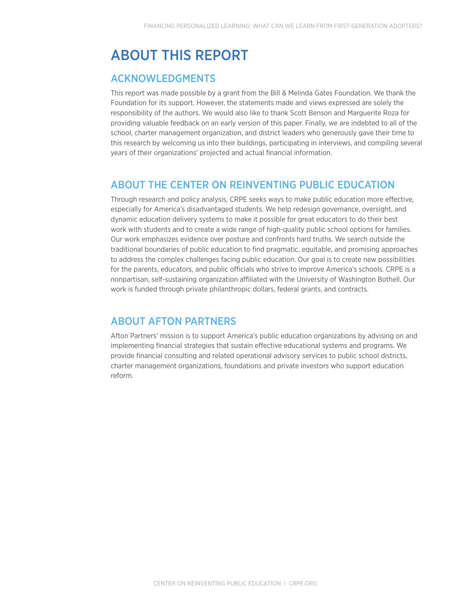# ABOUT THIS REPORT

### ACKNOWLEDGMENTS

This report was made possible by a grant from the Bill & Melinda Gates Foundation. We thank the Foundation for its support. However, the statements made and views expressed are solely the responsibility of the authors. We would also like to thank Scott Benson and Marguerite Roza for providing valuable feedback on an early version of this paper. Finally, we are indebted to all of the school, charter management organization, and district leaders who generously gave their time to this research by welcoming us into their buildings, participating in interviews, and compiling several years of their organizations' projected and actual financial information.

## ABOUT THE CENTER ON REINVENTING PUBLIC EDUCATION

Through research and policy analysis, CRPE seeks ways to make public education more effective, especially for America's disadvantaged students. We help redesign governance, oversight, and dynamic education delivery systems to make it possible for great educators to do their best work with students and to create a wide range of high-quality public school options for families. Our work emphasizes evidence over posture and confronts hard truths. We search outside the traditional boundaries of public education to find pragmatic, equitable, and promising approaches to address the complex challenges facing public education. Our goal is to create new possibilities for the parents, educators, and public officials who strive to improve America's schools. CRPE is a nonpartisan, self-sustaining organization affiliated with the University of Washington Bothell. Our work is funded through private philanthropic dollars, federal grants, and contracts.

### ABOUT AFTON PARTNERS

Afton Partners' mission is to support America's public education organizations by advising on and implementing financial strategies that sustain effective educational systems and programs. We provide financial consulting and related operational advisory services to public school districts, charter management organizations, foundations and private investors who support education reform.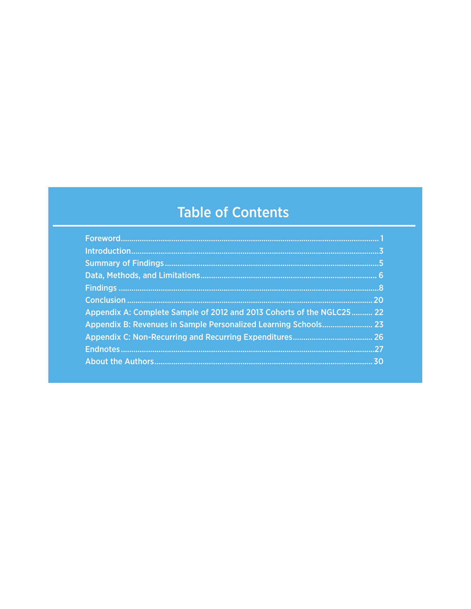# **Table of Contents**

| Appendix A: Complete Sample of 2012 and 2013 Cohorts of the NGLC25 22 |    |
|-----------------------------------------------------------------------|----|
| Appendix B: Revenues in Sample Personalized Learning Schools 23       |    |
|                                                                       |    |
|                                                                       |    |
|                                                                       | 30 |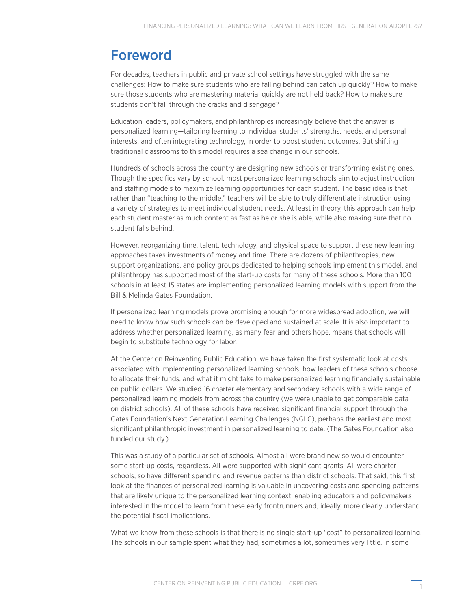# Foreword

For decades, teachers in public and private school settings have struggled with the same challenges: How to make sure students who are falling behind can catch up quickly? How to make sure those students who are mastering material quickly are not held back? How to make sure students don't fall through the cracks and disengage?

Education leaders, policymakers, and philanthropies increasingly believe that the answer is personalized learning—tailoring learning to individual students' strengths, needs, and personal interests, and often integrating technology, in order to boost student outcomes. But shifting traditional classrooms to this model requires a sea change in our schools.

Hundreds of schools across the country are designing new schools or transforming existing ones. Though the specifics vary by school, most personalized learning schools aim to adjust instruction and staffing models to maximize learning opportunities for each student. The basic idea is that rather than "teaching to the middle," teachers will be able to truly differentiate instruction using a variety of strategies to meet individual student needs. At least in theory, this approach can help each student master as much content as fast as he or she is able, while also making sure that no student falls behind.

However, reorganizing time, talent, technology, and physical space to support these new learning approaches takes investments of money and time. There are dozens of philanthropies, new support organizations, and policy groups dedicated to helping schools implement this model, and philanthropy has supported most of the start-up costs for many of these schools. More than 100 schools in at least 15 states are implementing personalized learning models with support from the Bill & Melinda Gates Foundation.

If personalized learning models prove promising enough for more widespread adoption, we will need to know how such schools can be developed and sustained at scale. It is also important to address whether personalized learning, as many fear and others hope, means that schools will begin to substitute technology for labor.

At the Center on Reinventing Public Education, we have taken the first systematic look at costs associated with implementing personalized learning schools, how leaders of these schools choose to allocate their funds, and what it might take to make personalized learning financially sustainable on public dollars. We studied 16 charter elementary and secondary schools with a wide range of personalized learning models from across the country (we were unable to get comparable data on district schools). All of these schools have received significant financial support through the Gates Foundation's Next Generation Learning Challenges (NGLC), perhaps the earliest and most significant philanthropic investment in personalized learning to date. (The Gates Foundation also funded our study.)

This was a study of a particular set of schools. Almost all were brand new so would encounter some start-up costs, regardless. All were supported with significant grants. All were charter schools, so have different spending and revenue patterns than district schools. That said, this first look at the finances of personalized learning is valuable in uncovering costs and spending patterns that are likely unique to the personalized learning context, enabling educators and policymakers interested in the model to learn from these early frontrunners and, ideally, more clearly understand the potential fiscal implications.

What we know from these schools is that there is no single start-up "cost" to personalized learning. The schools in our sample spent what they had, sometimes a lot, sometimes very little. In some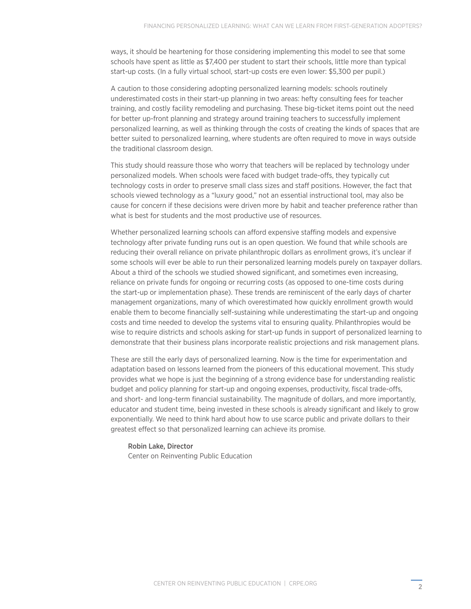<span id="page-4-0"></span>ways, it should be heartening for those considering implementing this model to see that some schools have spent as little as \$7,400 per student to start their schools, little more than typical start-up costs. (In a fully virtual school, start-up costs ere even lower: \$5,300 per pupil.)

A caution to those considering adopting personalized learning models: schools routinely underestimated costs in their start-up planning in two areas: hefty consulting fees for teacher training, and costly facility remodeling and purchasing. These big-ticket items point out the need for better up-front planning and strategy around training teachers to successfully implement personalized learning, as well as thinking through the costs of creating the kinds of spaces that are better suited to personalized learning, where students are often required to move in ways outside the traditional classroom design.

This study should reassure those who worry that teachers will be replaced by technology under personalized models. When schools were faced with budget trade-offs, they typically cut technology costs in order to preserve small class sizes and staff positions. However, the fact that schools viewed technology as a "luxury good," not an essential instructional tool, may also be cause for concern if these decisions were driven more by habit and teacher preference rather than what is best for students and the most productive use of resources.

Whether personalized learning schools can afford expensive staffing models and expensive technology after private funding runs out is an open question. We found that while schools are reducing their overall reliance on private philanthropic dollars as enrollment grows, it's unclear if some schools will ever be able to run their personalized learning models purely on taxpayer dollars. About a third of the schools we studied showed significant, and sometimes even increasing, reliance on private funds for ongoing or recurring costs (as opposed to one-time costs during the start-up or implementation phase). These trends are reminiscent of the early days of charter management organizations, many of which overestimated how quickly enrollment growth would enable them to become financially self-sustaining while underestimating the start-up and ongoing costs and time needed to develop the systems vital to ensuring quality. Philanthropies would be wise to require districts and schools asking for start-up funds in support of personalized learning to demonstrate that their business plans incorporate realistic projections and risk management plans.

These are still the early days of personalized learning. Now is the time for experimentation and adaptation based on lessons learned from the pioneers of this educational movement. This study provides what we hope is just the beginning of a strong evidence base for understanding realistic budget and policy planning for start-up and ongoing expenses, productivity, fiscal trade-offs, and short- and long-term financial sustainability. The magnitude of dollars, and more importantly, educator and student time, being invested in these schools is already significant and likely to grow exponentially. We need to think hard about how to use scarce public and private dollars to their greatest effect so that personalized learning can achieve its promise.

Robin Lake, Director Center on Reinventing Public Education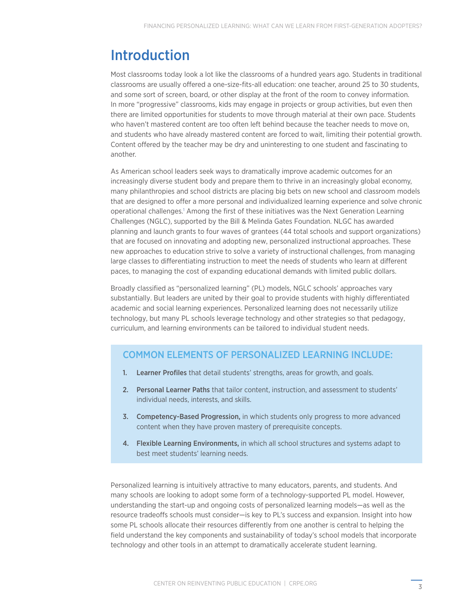# <span id="page-5-0"></span>Introduction

Most classrooms today look a lot like the classrooms of a hundred years ago. Students in traditional classrooms are usually offered a one-size-fits-all education: one teacher, around 25 to 30 students, and some sort of screen, board, or other display at the front of the room to convey information. In more "progressive" classrooms, kids may engage in projects or group activities, but even then there are limited opportunities for students to move through material at their own pace. Students who haven't mastered content are too often left behind because the teacher needs to move on, and students who have already mastered content are forced to wait, limiting their potential growth. Content offered by the teacher may be dry and uninteresting to one student and fascinating to another.

As American school leaders seek ways to dramatically improve academic outcomes for an increasingly diverse student body and prepare them to thrive in an increasingly global economy, many philanthropies and school districts are placing big bets on new school and classroom models that are designed to offer a more personal and individualized learning experience and solve chronic operational challenges.<sup>[1](#page-29-0)</sup> Among the first of these initiatives was the Next Generation Learning Challenges (NGLC), supported by the Bill & Melinda Gates Foundation. NLGC has awarded planning and launch grants to four waves of grantees (44 total schools and support organizations) that are focused on innovating and adopting new, personalized instructional approaches. These new approaches to education strive to solve a variety of instructional challenges, from managing large classes to differentiating instruction to meet the needs of students who learn at different paces, to managing the cost of expanding educational demands with limited public dollars.

Broadly classified as "personalized learning" (PL) models, NGLC schools' approaches vary substantially. But leaders are united by their goal to provide students with highly differentiated academic and social learning experiences. Personalized learning does not necessarily utilize technology, but many PL schools leverage technology and other strategies so that pedagogy, curriculum, and learning environments can be tailored to individual student needs.

### COMMON ELEMENTS OF PERSONALIZED LEARNING INCLUDE:

- 1. Learner Profiles that detail students' strengths, areas for growth, and goals.
- 2. Personal Learner Paths that tailor content, instruction, and assessment to students' individual needs, interests, and skills.
- 3. Competency-Based Progression, in which students only progress to more advanced content when they have proven mastery of prerequisite concepts.
- 4. Flexible Learning Environments, in which all school structures and systems adapt to best meet students' learning needs.

Personalized learning is intuitively attractive to many educators, parents, and students. And many schools are looking to adopt some form of a technology-supported PL model. However, understanding the start-up and ongoing costs of personalized learning models—as well as the resource tradeoffs schools must consider—is key to PL's success and expansion. Insight into how some PL schools allocate their resources differently from one another is central to helping the field understand the key components and sustainability of today's school models that incorporate technology and other tools in an attempt to dramatically accelerate student learning.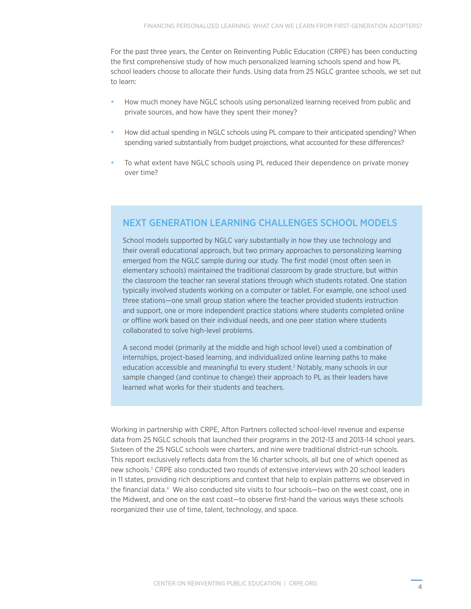<span id="page-6-0"></span>For the past three years, the Center on Reinventing Public Education (CRPE) has been conducting the first comprehensive study of how much personalized learning schools spend and how PL school leaders choose to allocate their funds. Using data from 25 NGLC grantee schools, we set out to learn:

- **•** How much money have NGLC schools using personalized learning received from public and private sources, and how have they spent their money?
- **•** How did actual spending in NGLC schools using PL compare to their anticipated spending? When spending varied substantially from budget projections, what accounted for these differences?
- **•** To what extent have NGLC schools using PL reduced their dependence on private money over time?

### NEXT GENERATION LEARNING CHALLENGES SCHOOL MODELS

School models supported by NGLC vary substantially in how they use technology and their overall educational approach, but two primary approaches to personalizing learning emerged from the NGLC sample during our study. The first model (most often seen in elementary schools) maintained the traditional classroom by grade structure, but within the classroom the teacher ran several stations through which students rotated. One station typically involved students working on a computer or tablet. For example, one school used three stations—one small group station where the teacher provided students instruction and support, one or more independent practice stations where students completed online or offline work based on their individual needs, and one peer station where students collaborated to solve high-level problems.

A second model (primarily at the middle and high school level) used a combination of internships, project-based learning, and individualized online learning paths to make education accessible and meaningful to every student.<sup>[2](#page-29-3)</sup> Notably, many schools in our sample changed (and continue to change) their approach to PL as their leaders have learned what works for their students and teachers.

Working in partnership with CRPE, Afton Partners collected school-level revenue and expense data from 25 NGLC schools that launched their programs in the 2012-13 and 2013-14 school years. Sixteen of the 25 NGLC schools were charters, and nine were traditional district-run schools. This report exclusively reflects data from the 16 charter schools, all but one of which opened as new schools.<sup>[3](#page-29-1)</sup> CRPE also conducted two rounds of extensive interviews with 20 school leaders in 11 states, providing rich descriptions and context that help to explain patterns we observed in the financial data[.4](#page-29-2) We also conducted site visits to four schools—two on the west coast, one in the Midwest, and one on the east coast—to observe first-hand the various ways these schools reorganized their use of time, talent, technology, and space.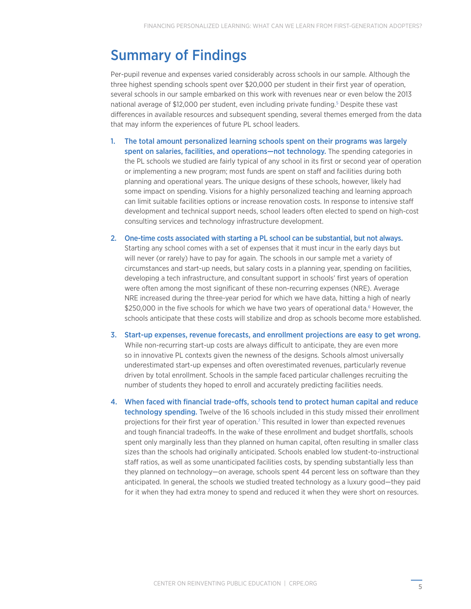# <span id="page-7-0"></span>Summary of Findings

Per-pupil revenue and expenses varied considerably across schools in our sample. Although the three highest spending schools spent over \$20,000 per student in their first year of operation, several schools in our sample embarked on this work with revenues near or even below the 2013 national average of \$12,000 per student, even including private funding.<sup>5</sup> Despite these vast differences in available resources and subsequent spending, several themes emerged from the data that may inform the experiences of future PL school leaders.

- 1. The total amount personalized learning schools spent on their programs was largely spent on salaries, facilities, and operations—not technology. The spending categories in the PL schools we studied are fairly typical of any school in its first or second year of operation or implementing a new program; most funds are spent on staff and facilities during both planning and operational years. The unique designs of these schools, however, likely had some impact on spending. Visions for a highly personalized teaching and learning approach can limit suitable facilities options or increase renovation costs. In response to intensive staff development and technical support needs, school leaders often elected to spend on high-cost consulting services and technology infrastructure development.
- 2. One-time costs associated with starting a PL school can be substantial, but not always. Starting any school comes with a set of expenses that it must incur in the early days but will never (or rarely) have to pay for again. The schools in our sample met a variety of circumstances and start-up needs, but salary costs in a planning year, spending on facilities, developing a tech infrastructure, and consultant support in schools' first years of operation were often among the most significant of these non-recurring expenses (NRE). Average NRE increased during the three-year period for which we have data, hitting a high of nearly \$250,000 in the five schools for which we have two years of operational data.<sup>[6](#page-29-5)</sup> However, the schools anticipate that these costs will stabilize and drop as schools become more established.
- 3. Start-up expenses, revenue forecasts, and enrollment projections are easy to get wrong. While non-recurring start-up costs are always difficult to anticipate, they are even more so in innovative PL contexts given the newness of the designs. Schools almost universally underestimated start-up expenses and often overestimated revenues, particularly revenue driven by total enrollment. Schools in the sample faced particular challenges recruiting the number of students they hoped to enroll and accurately predicting facilities needs.
- 4. When faced with financial trade-offs, schools tend to protect human capital and reduce **technology spending.** Twelve of the 16 schools included in this study missed their enrollment projections for their first year of operation.<sup>[7](#page-29-6)</sup> This resulted in lower than expected revenues and tough financial tradeoffs. In the wake of these enrollment and budget shortfalls, schools spent only marginally less than they planned on human capital, often resulting in smaller class sizes than the schools had originally anticipated. Schools enabled low student-to-instructional staff ratios, as well as some unanticipated facilities costs, by spending substantially less than they planned on technology—on average, schools spent 44 percent less on software than they anticipated. In general, the schools we studied treated technology as a luxury good—they paid for it when they had extra money to spend and reduced it when they were short on resources.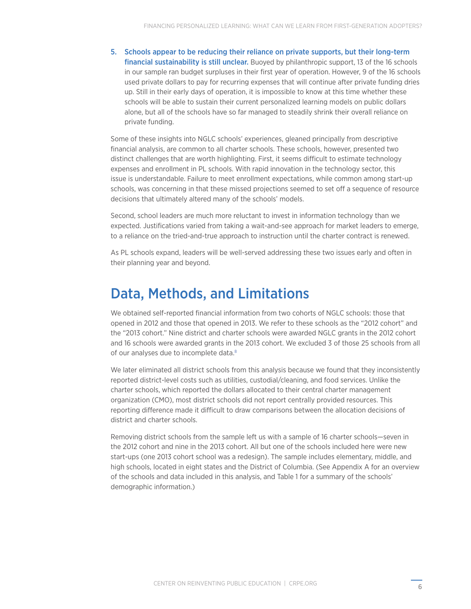<span id="page-8-0"></span>5. Schools appear to be reducing their reliance on private supports, but their long-term financial sustainability is still unclear. Buoyed by philanthropic support, 13 of the 16 schools in our sample ran budget surpluses in their first year of operation. However, 9 of the 16 schools used private dollars to pay for recurring expenses that will continue after private funding dries up. Still in their early days of operation, it is impossible to know at this time whether these schools will be able to sustain their current personalized learning models on public dollars alone, but all of the schools have so far managed to steadily shrink their overall reliance on private funding.

Some of these insights into NGLC schools' experiences, gleaned principally from descriptive financial analysis, are common to all charter schools. These schools, however, presented two distinct challenges that are worth highlighting. First, it seems difficult to estimate technology expenses and enrollment in PL schools. With rapid innovation in the technology sector, this issue is understandable. Failure to meet enrollment expectations, while common among start-up schools, was concerning in that these missed projections seemed to set off a sequence of resource decisions that ultimately altered many of the schools' models.

Second, school leaders are much more reluctant to invest in information technology than we expected. Justifications varied from taking a wait-and-see approach for market leaders to emerge, to a reliance on the tried-and-true approach to instruction until the charter contract is renewed.

As PL schools expand, leaders will be well-served addressing these two issues early and often in their planning year and beyond.

# Data, Methods, and Limitations

We obtained self-reported financial information from two cohorts of NGLC schools: those that opened in 2012 and those that opened in 2013. We refer to these schools as the "2012 cohort" and the "2013 cohort." Nine district and charter schools were awarded NGLC grants in the 2012 cohort and 16 schools were awarded grants in the 2013 cohort. We excluded 3 of those 25 schools from all of our analyses due to incomplete data.[8](#page-29-7)

We later eliminated all district schools from this analysis because we found that they inconsistently reported district-level costs such as utilities, custodial/cleaning, and food services. Unlike the charter schools, which reported the dollars allocated to their central charter management organization (CMO), most district schools did not report centrally provided resources. This reporting difference made it difficult to draw comparisons between the allocation decisions of district and charter schools.

Removing district schools from the sample left us with a sample of 16 charter schools—seven in the 2012 cohort and nine in the 2013 cohort. All but one of the schools included here were new start-ups (one 2013 cohort school was a redesign). The sample includes elementary, middle, and high schools, located in eight states and the District of Columbia. (See Appendix A for an overview of the schools and data included in this analysis, and Table 1 for a summary of the schools' demographic information.)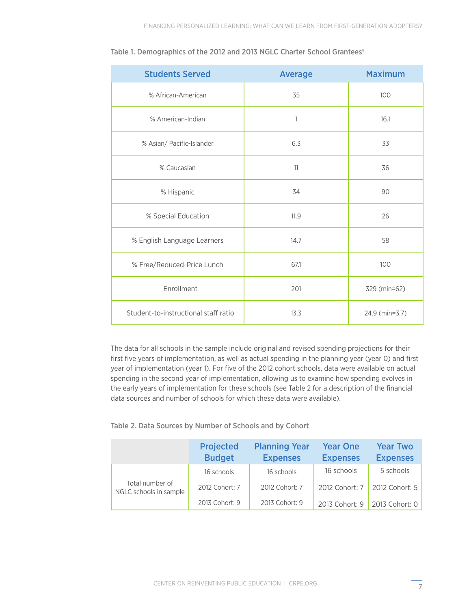| <b>Students Served</b>               | <b>Average</b> | <b>Maximum</b> |
|--------------------------------------|----------------|----------------|
| % African-American                   | 35             | 100            |
| % American-Indian                    | 1              | 16.1           |
| % Asian/ Pacific-Islander            | 6.3            | 33             |
| % Caucasian                          | 11             | 36             |
| % Hispanic                           | 34             | 90             |
| % Special Education                  | 11.9           | 26             |
| % English Language Learners          | 14.7           | 58             |
| % Free/Reduced-Price Lunch           | 67.1           | 100            |
| Enrollment                           | 201            | 329 (min=62)   |
| Student-to-instructional staff ratio | 13.3           | 24.9 (min=3.7) |

<span id="page-9-0"></span>

| Table 1. Demographics of the 2012 and 2013 NGLC Charter School Grantees <sup>9</sup> |  |  |
|--------------------------------------------------------------------------------------|--|--|
|--------------------------------------------------------------------------------------|--|--|

The data for all schools in the sample include original and revised spending projections for their first five years of implementation, as well as actual spending in the planning year (year 0) and first year of implementation (year 1). For five of the 2012 cohort schools, data were available on actual spending in the second year of implementation, allowing us to examine how spending evolves in the early years of implementation for these schools (see Table 2 for a description of the financial data sources and number of schools for which these data were available).

#### Table 2. Data Sources by Number of Schools and by Cohort

|                                           | <b>Projected</b><br><b>Budget</b> | <b>Planning Year</b><br><b>Expenses</b> | <b>Year One</b><br><b>Expenses</b> | <b>Year Two</b><br><b>Expenses</b> |
|-------------------------------------------|-----------------------------------|-----------------------------------------|------------------------------------|------------------------------------|
|                                           | 16 schools                        | 16 schools                              | 16 schools                         | 5 schools                          |
| Total number of<br>NGLC schools in sample | 2012 Cohort: 7                    | 2012 Cohort: 7                          | 2012 Cohort: 7                     | 2012 Cohort: 5                     |
|                                           | 2013 Cohort: 9                    | 2013 Cohort: 9                          | 2013 Cohort: 9                     | 2013 Cohort: 0                     |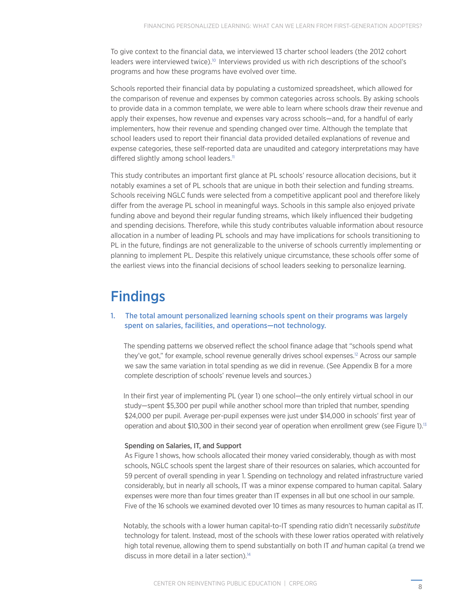<span id="page-10-0"></span>To give context to the financial data, we interviewed 13 charter school leaders (the 2012 cohort leaders were interviewed twice).<sup>[10](#page-29-9)</sup> Interviews provided us with rich descriptions of the school's programs and how these programs have evolved over time.

Schools reported their financial data by populating a customized spreadsheet, which allowed for the comparison of revenue and expenses by common categories across schools. By asking schools to provide data in a common template, we were able to learn where schools draw their revenue and apply their expenses, how revenue and expenses vary across schools—and, for a handful of early implementers, how their revenue and spending changed over time. Although the template that school leaders used to report their financial data provided detailed explanations of revenue and expense categories, these self-reported data are unaudited and category interpretations may have differed slightly among school leaders.<sup>[11](#page-29-10)</sup>

This study contributes an important first glance at PL schools' resource allocation decisions, but it notably examines a set of PL schools that are unique in both their selection and funding streams. Schools receiving NGLC funds were selected from a competitive applicant pool and therefore likely differ from the average PL school in meaningful ways. Schools in this sample also enjoyed private funding above and beyond their regular funding streams, which likely influenced their budgeting and spending decisions. Therefore, while this study contributes valuable information about resource allocation in a number of leading PL schools and may have implications for schools transitioning to PL in the future, findings are not generalizable to the universe of schools currently implementing or planning to implement PL. Despite this relatively unique circumstance, these schools offer some of the earliest views into the financial decisions of school leaders seeking to personalize learning.

# **Findings**

#### 1. The total amount personalized learning schools spent on their programs was largely spent on salaries, facilities, and operations—not technology.

 The spending patterns we observed reflect the school finance adage that "schools spend what they've got," for example, school revenue generally drives school expenses.<sup>12</sup> Across our sample we saw the same variation in total spending as we did in revenue. (See Appendix B for a more complete description of schools' revenue levels and sources.)

 In their first year of implementing PL (year 1) one school—the only entirely virtual school in our study—spent \$5,300 per pupil while another school more than tripled that number, spending \$24,000 per pupil. Average per-pupil expenses were just under \$14,000 in schools' first year of operation and about \$10,300 in their second year of operation when enrollment grew (see Figure 1).<sup>13</sup>

#### Spending on Salaries, IT, and Support

As Figure 1 shows, how schools allocated their money varied considerably, though as with most schools, NGLC schools spent the largest share of their resources on salaries, which accounted for 59 percent of overall spending in year 1. Spending on technology and related infrastructure varied considerably, but in nearly all schools, IT was a minor expense compared to human capital. Salary expenses were more than four times greater than IT expenses in all but one school in our sample. Five of the 16 schools we examined devoted over 10 times as many resources to human capital as IT.

 Notably, the schools with a lower human capital-to-IT spending ratio didn't necessarily *substitute*  technology for talent. Instead, most of the schools with these lower ratios operated with relatively high total revenue, allowing them to spend substantially on both IT *and* human capital (a trend we discuss in more detail in a later section)[.14](#page-29-13)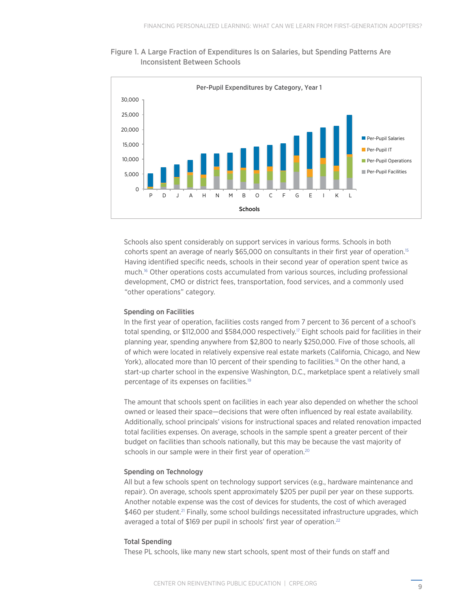<span id="page-11-0"></span>



 Schools also spent considerably on support services in various forms. Schools in both cohorts spent an average of nearly \$65,000 on consultants in their first year of operation.[15](#page-29-14) Having identified specific needs, schools in their second year of operation spent twice as much[.16](#page-29-15) Other operations costs accumulated from various sources, including professional development, CMO or district fees, transportation, food services, and a commonly used "other operations" category.

#### Spending on Facilities

 In the first year of operation, facilities costs ranged from 7 percent to 36 percent of a school's total spending, or \$112,000 and \$584,000 respectively[.17](#page-29-16) Eight schools paid for facilities in their planning year, spending anywhere from \$2,800 to nearly \$250,000. Five of those schools, all of which were located in relatively expensive real estate markets (California, Chicago, and New York), allocated more than 10 percent of their spending to facilities.<sup>[18](#page-29-17)</sup> On the other hand, a start-up charter school in the expensive Washington, D.C., marketplace spent a relatively small percentage of its expenses on facilities.[19](#page-29-18)

 The amount that schools spent on facilities in each year also depended on whether the school owned or leased their space—decisions that were often influenced by real estate availability. Additionally, school principals' visions for instructional spaces and related renovation impacted total facilities expenses. On average, schools in the sample spent a greater percent of their budget on facilities than schools nationally, but this may be because the vast majority of schools in our sample were in their first year of operation.<sup>20</sup>

#### Spending on Technology

 All but a few schools spent on technology support services (e.g., hardware maintenance and repair). On average, schools spent approximately \$205 per pupil per year on these supports. Another notable expense was the cost of devices for students, the cost of which averaged \$460 per student.<sup>[21](#page-30-0)</sup> Finally, some school buildings necessitated infrastructure upgrades, which averaged a total of \$169 per pupil in schools' first year of operation.<sup>22</sup>

#### Total Spending

These PL schools, like many new start schools, spent most of their funds on staff and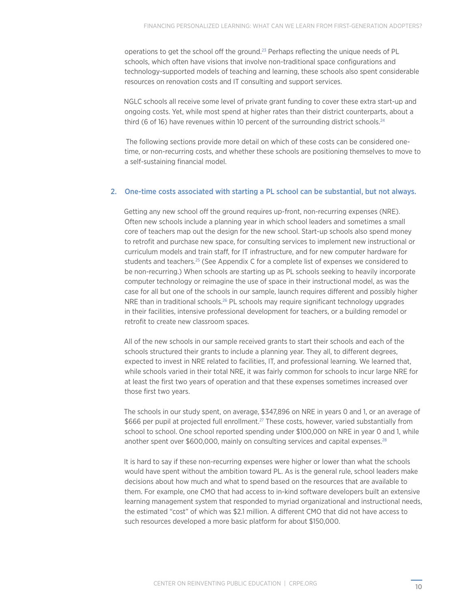<span id="page-12-0"></span>operations to get the school off the ground[.23](#page-30-2) Perhaps reflecting the unique needs of PL schools, which often have visions that involve non-traditional space configurations and technology-supported models of teaching and learning, these schools also spent considerable resources on renovation costs and IT consulting and support services.

 NGLC schools all receive some level of private grant funding to cover these extra start-up and ongoing costs. Yet, while most spend at higher rates than their district counterparts, about a third (6 of 16) have revenues within 10 percent of the surrounding district schools.<sup>[24](#page-30-3)</sup>

 The following sections provide more detail on which of these costs can be considered onetime, or non-recurring costs, and whether these schools are positioning themselves to move to a self-sustaining financial model.

#### 2. One-time costs associated with starting a PL school can be substantial, but not always.

 Getting any new school off the ground requires up-front, non-recurring expenses (NRE). Often new schools include a planning year in which school leaders and sometimes a small core of teachers map out the design for the new school. Start-up schools also spend money to retrofit and purchase new space, for consulting services to implement new instructional or curriculum models and train staff, for IT infrastructure, and for new computer hardware for students and teachers[.25](#page-30-4) (See Appendix C for a complete list of expenses we considered to be non-recurring.) When schools are starting up as PL schools seeking to heavily incorporate computer technology or reimagine the use of space in their instructional model, as was the case for all but one of the schools in our sample, launch requires different and possibly higher NRE than in traditional schools.<sup>26</sup> PL schools may require significant technology upgrades in their facilities, intensive professional development for teachers, or a building remodel or retrofit to create new classroom spaces.

 All of the new schools in our sample received grants to start their schools and each of the schools structured their grants to include a planning year. They all, to different degrees, expected to invest in NRE related to facilities, IT, and professional learning. We learned that, while schools varied in their total NRE, it was fairly common for schools to incur large NRE for at least the first two years of operation and that these expenses sometimes increased over those first two years.

 The schools in our study spent, on average, \$347,896 on NRE in years 0 and 1, or an average of \$666 per pupil at projected full enrollment.<sup>27</sup> These costs, however, varied substantially from school to school. One school reported spending under \$100,000 on NRE in year 0 and 1, while another spent over \$600,000, mainly on consulting services and capital expenses.<sup>28</sup>

 It is hard to say if these non-recurring expenses were higher or lower than what the schools would have spent without the ambition toward PL. As is the general rule, school leaders make decisions about how much and what to spend based on the resources that are available to them. For example, one CMO that had access to in-kind software developers built an extensive learning management system that responded to myriad organizational and instructional needs, the estimated "cost" of which was \$2.1 million. A different CMO that did not have access to such resources developed a more basic platform for about \$150,000.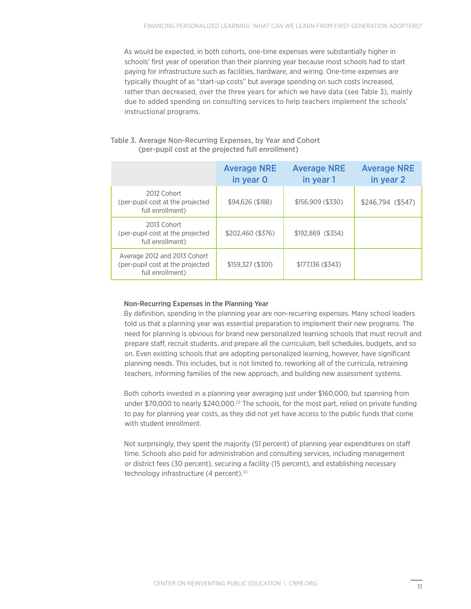<span id="page-13-0"></span> As would be expected, in both cohorts, one-time expenses were substantially higher in schools' first year of operation than their planning year because most schools had to start paying for infrastructure such as facilities, hardware, and wiring. One-time expenses are typically thought of as "start-up costs" but average spending on such costs increased, rather than decreased, over the three years for which we have data (see Table 3), mainly due to added spending on consulting services to help teachers implement the schools' instructional programs.

#### Table 3. Average Non-Recurring Expenses, by Year and Cohort (per-pupil cost at the projected full enrollment)

|                                                                                      | <b>Average NRE</b><br>in year O | <b>Average NRE</b><br>in year 1 | <b>Average NRE</b><br>in year 2 |
|--------------------------------------------------------------------------------------|---------------------------------|---------------------------------|---------------------------------|
| 2012 Cohort<br>(per-pupil cost at the projected<br>full enrollment)                  | \$94,626 (\$188)                | \$156,909(\$330)                | $$246,794$ (\$547)              |
| 2013 Cohort<br>(per-pupil cost at the projected<br>full enrollment)                  | \$202,460 (\$376)               | \$192,869 (\$354)               |                                 |
| Average 2012 and 2013 Cohort<br>(per-pupil cost at the projected<br>full enrollment) | \$159,327 (\$301)               | \$177,136 (\$343)               |                                 |

#### Non-Recurring Expenses in the Planning Year

 By definition, spending in the planning year are non-recurring expenses. Many school leaders told us that a planning year was essential preparation to implement their new programs. The need for planning is obvious for brand new personalized learning schools that must recruit and prepare staff, recruit students, and prepare all the curriculum, bell schedules, budgets, and so on. Even existing schools that are adopting personalized learning, however, have significant planning needs. This includes, but is not limited to, reworking all of the curricula, retraining teachers, informing families of the new approach, and building new assessment systems.

 Both cohorts invested in a planning year averaging just under \$160,000, but spanning from under \$70,000 to nearly \$240,000.<sup>29</sup> The schools, for the most part, relied on private funding to pay for planning year costs, as they did not yet have access to the public funds that come with student enrollment.

 Not surprisingly, they spent the majority (51 percent) of planning year expenditures on staff time. Schools also paid for administration and consulting services, including management or district fees (30 percent), securing a facility (15 percent), and establishing necessary technology infrastructure (4 percent).<sup>[30](#page-30-9)</sup>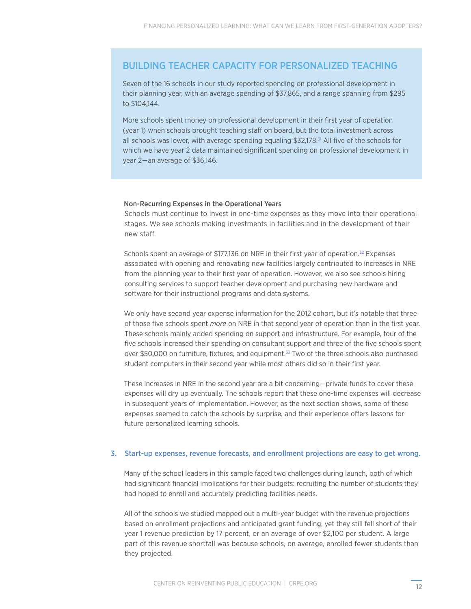### <span id="page-14-0"></span>BUILDING TEACHER CAPACITY FOR PERSONALIZED TEACHING

Seven of the 16 schools in our study reported spending on professional development in their planning year, with an average spending of \$37,865, and a range spanning from \$295 to \$104,144.

More schools spent money on professional development in their first year of operation (year 1) when schools brought teaching staff on board, but the total investment across all schools was lower, with average spending equaling  $$32,178$ .<sup>31</sup> All five of the schools for which we have year 2 data maintained significant spending on professional development in year 2—an average of \$36,146.

#### Non-Recurring Expenses in the Operational Years

 Schools must continue to invest in one-time expenses as they move into their operational stages. We see schools making investments in facilities and in the development of their new staff.

Schools spent an average of \$177,136 on NRE in their first year of operation.<sup>32</sup> Expenses associated with opening and renovating new facilities largely contributed to increases in NRE from the planning year to their first year of operation. However, we also see schools hiring consulting services to support teacher development and purchasing new hardware and software for their instructional programs and data systems.

 We only have second year expense information for the 2012 cohort, but it's notable that three of those five schools spent *more* on NRE in that second year of operation than in the first year. These schools mainly added spending on support and infrastructure. For example, four of the five schools increased their spending on consultant support and three of the five schools spent over \$50,000 on furniture, fixtures, and equipment.[33](#page-30-11) Two of the three schools also purchased student computers in their second year while most others did so in their first year.

 These increases in NRE in the second year are a bit concerning—private funds to cover these expenses will dry up eventually. The schools report that these one-time expenses will decrease in subsequent years of implementation. However, as the next section shows, some of these expenses seemed to catch the schools by surprise, and their experience offers lessons for future personalized learning schools.

#### 3. Start-up expenses, revenue forecasts, and enrollment projections are easy to get wrong.

 Many of the school leaders in this sample faced two challenges during launch, both of which had significant financial implications for their budgets: recruiting the number of students they had hoped to enroll and accurately predicting facilities needs.

 All of the schools we studied mapped out a multi-year budget with the revenue projections based on enrollment projections and anticipated grant funding, yet they still fell short of their year 1 revenue prediction by 17 percent, or an average of over \$2,100 per student. A large part of this revenue shortfall was because schools, on average, enrolled fewer students than they projected.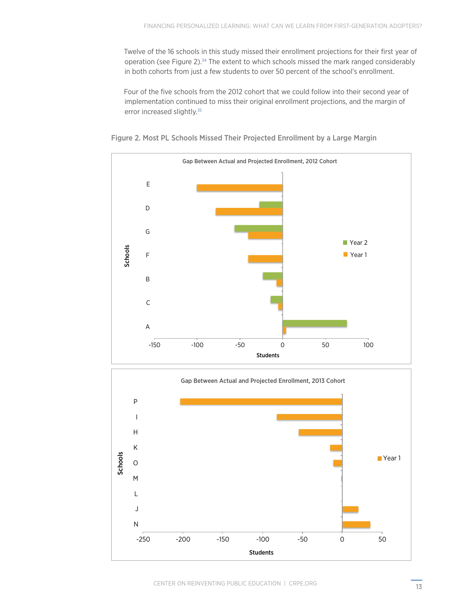<span id="page-15-0"></span> Twelve of the 16 schools in this study missed their enrollment projections for their first year of operation (see Figure 2).<sup>34</sup> The extent to which schools missed the mark ranged considerably in both cohorts from just a few students to over 50 percent of the school's enrollment.

 Four of the five schools from the 2012 cohort that we could follow into their second year of implementation continued to miss their original enrollment projections, and the margin of error increased slightly.<sup>[35](#page-30-14)</sup>





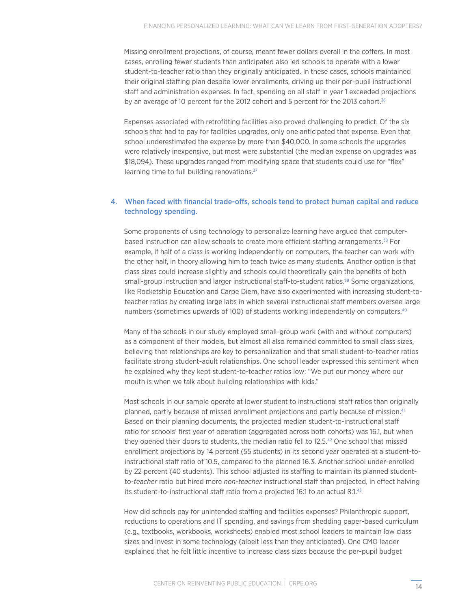<span id="page-16-0"></span> Missing enrollment projections, of course, meant fewer dollars overall in the coffers. In most cases, enrolling fewer students than anticipated also led schools to operate with a lower student-to-teacher ratio than they originally anticipated. In these cases, schools maintained their original staffing plan despite lower enrollments, driving up their per-pupil instructional staff and administration expenses. In fact, spending on all staff in year 1 exceeded projections by an average of 10 percent for the 2012 cohort and 5 percent for the 2013 cohort.<sup>[36](#page-30-15)</sup>

 Expenses associated with retrofitting facilities also proved challenging to predict. Of the six schools that had to pay for facilities upgrades, only one anticipated that expense. Even that school underestimated the expense by more than \$40,000. In some schools the upgrades were relatively inexpensive, but most were substantial (the median expense on upgrades was \$18,094). These upgrades ranged from modifying space that students could use for "flex" learning time to full building renovations.<sup>37</sup>

#### 4. When faced with financial trade-offs, schools tend to protect human capital and reduce technology spending.

 Some proponents of using technology to personalize learning have argued that computerbased instruction can allow schools to create more efficient staffing arrangements[.38](#page-30-17) For example, if half of a class is working independently on computers, the teacher can work with the other half, in theory allowing him to teach twice as many students. Another option is that class sizes could increase slightly and schools could theoretically gain the benefits of both small-group instruction and larger instructional staff-to-student ratios.<sup>39</sup> Some organizations, like Rocketship Education and Carpe Diem, have also experimented with increasing student-toteacher ratios by creating large labs in which several instructional staff members oversee large numbers (sometimes upwards of 100) of students working independently on computers.[40](#page-30-19)

 Many of the schools in our study employed small-group work (with and without computers) as a component of their models, but almost all also remained committed to small class sizes, believing that relationships are key to personalization and that small student-to-teacher ratios facilitate strong student-adult relationships. One school leader expressed this sentiment when he explained why they kept student-to-teacher ratios low: "We put our money where our mouth is when we talk about building relationships with kids."

 Most schools in our sample operate at lower student to instructional staff ratios than originally planned, partly because of missed enrollment projections and partly because of mission.[41](#page-30-20)  Based on their planning documents, the projected median student-to-instructional staff ratio for schools' first year of operation (aggregated across both cohorts) was 16.1, but when they opened their doors to students, the median ratio fell to 12.5.[42](#page-30-21) One school that missed enrollment projections by 14 percent (55 students) in its second year operated at a student-toinstructional staff ratio of 10.5, compared to the planned 16.3. Another school under-enrolled by 22 percent (40 students). This school adjusted its staffing to maintain its planned studentto-*teacher* ratio but hired more *non-teacher* instructional staff than projected, in effect halving its student-to-instructional staff ratio from a projected 16:1 to an actual 8:1[.43](#page-30-22)

 How did schools pay for unintended staffing and facilities expenses? Philanthropic support, reductions to operations and IT spending, and savings from shedding paper-based curriculum (e.g., textbooks, workbooks, worksheets) enabled most school leaders to maintain low class sizes and invest in some technology (albeit less than they anticipated). One CMO leader explained that he felt little incentive to increase class sizes because the per-pupil budget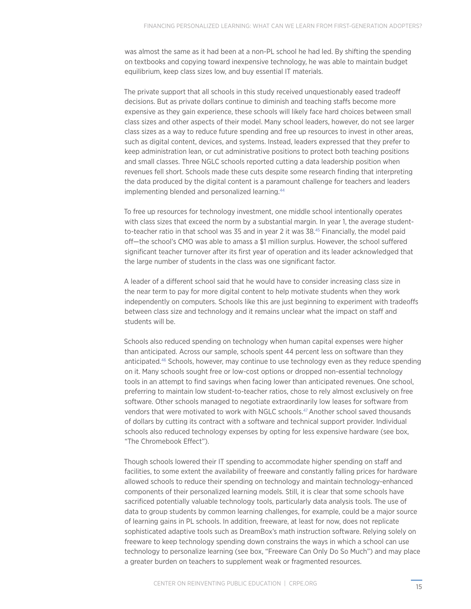<span id="page-17-0"></span>was almost the same as it had been at a non-PL school he had led. By shifting the spending on textbooks and copying toward inexpensive technology, he was able to maintain budget equilibrium, keep class sizes low, and buy essential IT materials.

 The private support that all schools in this study received unquestionably eased tradeoff decisions. But as private dollars continue to diminish and teaching staffs become more expensive as they gain experience, these schools will likely face hard choices between small class sizes and other aspects of their model. Many school leaders, however, do not see larger class sizes as a way to reduce future spending and free up resources to invest in other areas, such as digital content, devices, and systems. Instead, leaders expressed that they prefer to keep administration lean, or cut administrative positions to protect both teaching positions and small classes. Three NGLC schools reported cutting a data leadership position when revenues fell short. Schools made these cuts despite some research finding that interpreting the data produced by the digital content is a paramount challenge for teachers and leaders implementing blended and personalized learning.<sup>[44](#page-31-0)</sup>

 To free up resources for technology investment, one middle school intentionally operates with class sizes that exceed the norm by a substantial margin. In year 1, the average studentto-teacher ratio in that school was 35 and in year 2 it was 38.[45](#page-31-1) Financially, the model paid off—the school's CMO was able to amass a \$1 million surplus. However, the school suffered significant teacher turnover after its first year of operation and its leader acknowledged that the large number of students in the class was one significant factor.

 A leader of a different school said that he would have to consider increasing class size in the near term to pay for more digital content to help motivate students when they work independently on computers. Schools like this are just beginning to experiment with tradeoffs between class size and technology and it remains unclear what the impact on staff and students will be.

 Schools also reduced spending on technology when human capital expenses were higher than anticipated. Across our sample, schools spent 44 percent less on software than they anticipated.[46](#page-31-2) Schools, however, may continue to use technology even as they reduce spending on it. Many schools sought free or low-cost options or dropped non-essential technology tools in an attempt to find savings when facing lower than anticipated revenues. One school, preferring to maintain low student-to-teacher ratios, chose to rely almost exclusively on free software. Other schools managed to negotiate extraordinarily low leases for software from vendors that were motivated to work with NGLC schools[.47](#page-31-3)Another school saved thousands of dollars by cutting its contract with a software and technical support provider. Individual schools also reduced technology expenses by opting for less expensive hardware (see box, "The Chromebook Effect").

 Though schools lowered their IT spending to accommodate higher spending on staff and facilities, to some extent the availability of freeware and constantly falling prices for hardware allowed schools to reduce their spending on technology and maintain technology-enhanced components of their personalized learning models. Still, it is clear that some schools have sacrificed potentially valuable technology tools, particularly data analysis tools. The use of data to group students by common learning challenges, for example, could be a major source of learning gains in PL schools. In addition, freeware, at least for now, does not replicate sophisticated adaptive tools such as DreamBox's math instruction software. Relying solely on freeware to keep technology spending down constrains the ways in which a school can use technology to personalize learning (see box, "Freeware Can Only Do So Much") and may place a greater burden on teachers to supplement weak or fragmented resources.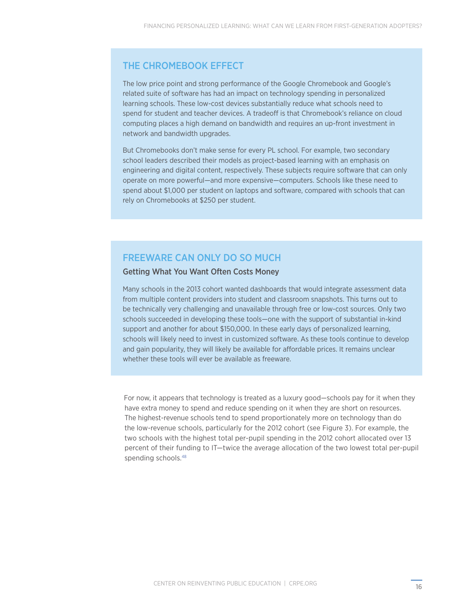### <span id="page-18-0"></span>THE CHROMEBOOK EFFECT

The low price point and strong performance of the Google Chromebook and Google's related suite of software has had an impact on technology spending in personalized learning schools. These low-cost devices substantially reduce what schools need to spend for student and teacher devices. A tradeoff is that Chromebook's reliance on cloud computing places a high demand on bandwidth and requires an up-front investment in network and bandwidth upgrades.

But Chromebooks don't make sense for every PL school. For example, two secondary school leaders described their models as project-based learning with an emphasis on engineering and digital content, respectively. These subjects require software that can only operate on more powerful—and more expensive—computers. Schools like these need to spend about \$1,000 per student on laptops and software, compared with schools that can rely on Chromebooks at \$250 per student.

### FREEWARE CAN ONLY DO SO MUCH

### Getting What You Want Often Costs Money

Many schools in the 2013 cohort wanted dashboards that would integrate assessment data from multiple content providers into student and classroom snapshots. This turns out to be technically very challenging and unavailable through free or low-cost sources. Only two schools succeeded in developing these tools—one with the support of substantial in-kind support and another for about \$150,000. In these early days of personalized learning, schools will likely need to invest in customized software. As these tools continue to develop and gain popularity, they will likely be available for affordable prices. It remains unclear whether these tools will ever be available as freeware.

 For now, it appears that technology is treated as a luxury good—schools pay for it when they have extra money to spend and reduce spending on it when they are short on resources. The highest-revenue schools tend to spend proportionately more on technology than do the low-revenue schools, particularly for the 2012 cohort (see Figure 3). For example, the two schools with the highest total per-pupil spending in the 2012 cohort allocated over 13 percent of their funding to IT—twice the average allocation of the two lowest total per-pupil spending schools[.48](#page-31-4)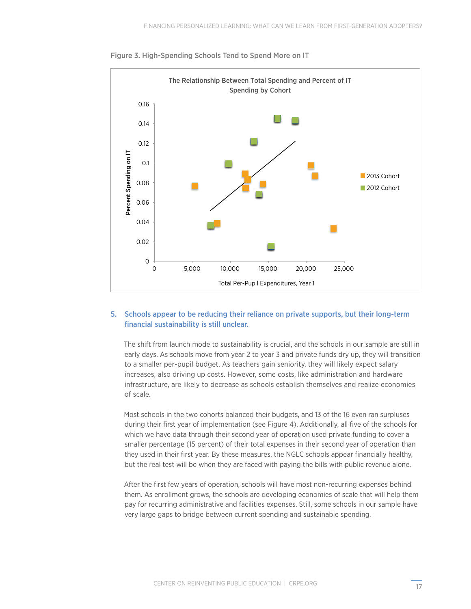

Figure 3. High-Spending Schools Tend to Spend More on IT

#### 5. Schools appear to be reducing their reliance on private supports, but their long-term financial sustainability is still unclear.

 The shift from launch mode to sustainability is crucial, and the schools in our sample are still in early days. As schools move from year 2 to year 3 and private funds dry up, they will transition to a smaller per-pupil budget. As teachers gain seniority, they will likely expect salary increases, also driving up costs. However, some costs, like administration and hardware infrastructure, are likely to decrease as schools establish themselves and realize economies of scale.

 Most schools in the two cohorts balanced their budgets, and 13 of the 16 even ran surpluses during their first year of implementation (see Figure 4). Additionally, all five of the schools for which we have data through their second year of operation used private funding to cover a smaller percentage (15 percent) of their total expenses in their second year of operation than they used in their first year. By these measures, the NGLC schools appear financially healthy, but the real test will be when they are faced with paying the bills with public revenue alone.

 After the first few years of operation, schools will have most non-recurring expenses behind them. As enrollment grows, the schools are developing economies of scale that will help them pay for recurring administrative and facilities expenses. Still, some schools in our sample have very large gaps to bridge between current spending and sustainable spending.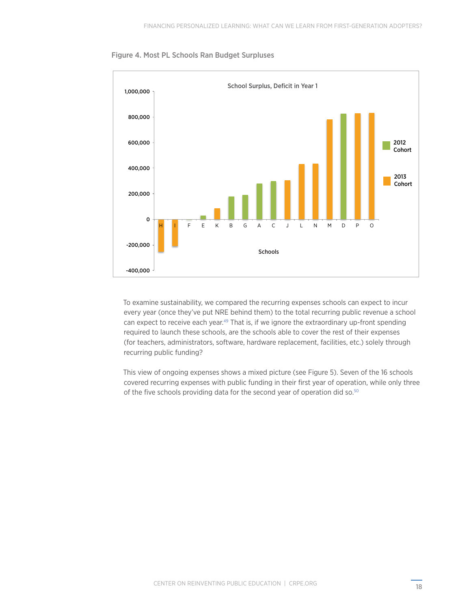<span id="page-20-0"></span>



 To examine sustainability, we compared the recurring expenses schools can expect to incur every year (once they've put NRE behind them) to the total recurring public revenue a school can expect to receive each year.<sup>[49](#page-31-5)</sup> That is, if we ignore the extraordinary up-front spending required to launch these schools, are the schools able to cover the rest of their expenses (for teachers, administrators, software, hardware replacement, facilities, etc.) solely through recurring public funding?

 This view of ongoing expenses shows a mixed picture (see Figure 5). Seven of the 16 schools covered recurring expenses with public funding in their first year of operation, while only three of the five schools providing data for the second year of operation did so.<sup>50</sup>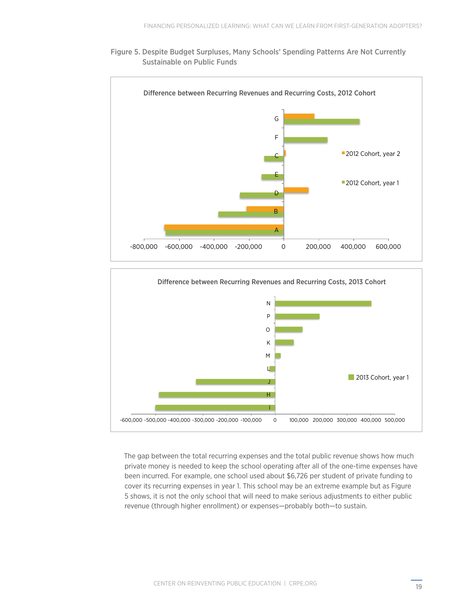





 The gap between the total recurring expenses and the total public revenue shows how much private money is needed to keep the school operating after all of the one-time expenses have been incurred. For example, one school used about \$6,726 per student of private funding to cover its recurring expenses in year 1. This school may be an extreme example but as Figure 5 shows, it is not the only school that will need to make serious adjustments to either public revenue (through higher enrollment) or expenses—probably both—to sustain.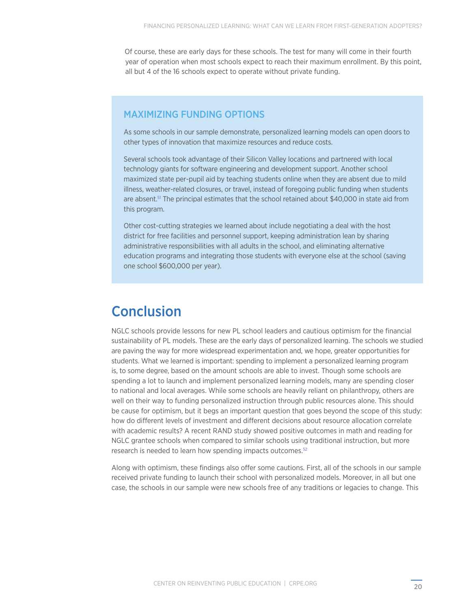<span id="page-22-0"></span> Of course, these are early days for these schools. The test for many will come in their fourth year of operation when most schools expect to reach their maximum enrollment. By this point, all but 4 of the 16 schools expect to operate without private funding.

### MAXIMIZING FUNDING OPTIONS

As some schools in our sample demonstrate, personalized learning models can open doors to other types of innovation that maximize resources and reduce costs.

Several schools took advantage of their Silicon Valley locations and partnered with local technology giants for software engineering and development support. Another school maximized state per-pupil aid by teaching students online when they are absent due to mild illness, weather-related closures, or travel, instead of foregoing public funding when students are absent.<sup>[51](#page-31-8)</sup> The principal estimates that the school retained about \$40,000 in state aid from this program.

Other cost-cutting strategies we learned about include negotiating a deal with the host district for free facilities and personnel support, keeping administration lean by sharing administrative responsibilities with all adults in the school, and eliminating alternative education programs and integrating those students with everyone else at the school (saving one school \$600,000 per year).

# **Conclusion**

NGLC schools provide lessons for new PL school leaders and cautious optimism for the financial sustainability of PL models. These are the early days of personalized learning. The schools we studied are paving the way for more widespread experimentation and, we hope, greater opportunities for students. What we learned is important: spending to implement a personalized learning program is, to some degree, based on the amount schools are able to invest. Though some schools are spending a lot to launch and implement personalized learning models, many are spending closer to national and local averages. While some schools are heavily reliant on philanthropy, others are well on their way to funding personalized instruction through public resources alone. This should be cause for optimism, but it begs an important question that goes beyond the scope of this study: how do different levels of investment and different decisions about resource allocation correlate with academic results? A recent RAND study showed positive outcomes in math and reading for NGLC grantee schools when compared to similar schools using traditional instruction, but more research is needed to learn how spending impacts outcomes.<sup>[52](#page-31-7)</sup>

Along with optimism, these findings also offer some cautions. First, all of the schools in our sample received private funding to launch their school with personalized models. Moreover, in all but one case, the schools in our sample were new schools free of any traditions or legacies to change. This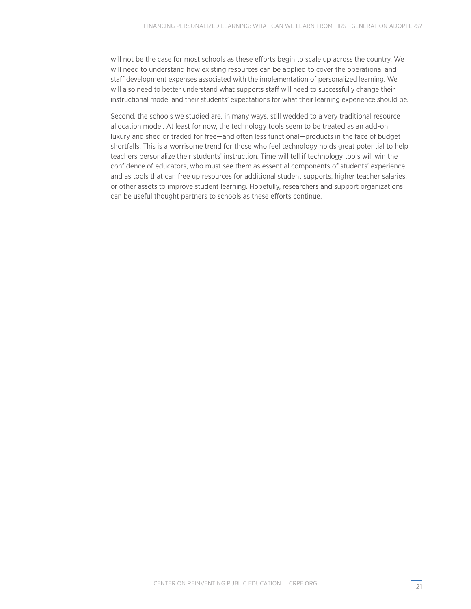will not be the case for most schools as these efforts begin to scale up across the country. We will need to understand how existing resources can be applied to cover the operational and staff development expenses associated with the implementation of personalized learning. We will also need to better understand what supports staff will need to successfully change their instructional model and their students' expectations for what their learning experience should be.

Second, the schools we studied are, in many ways, still wedded to a very traditional resource allocation model. At least for now, the technology tools seem to be treated as an add-on luxury and shed or traded for free—and often less functional—products in the face of budget shortfalls. This is a worrisome trend for those who feel technology holds great potential to help teachers personalize their students' instruction. Time will tell if technology tools will win the confidence of educators, who must see them as essential components of students' experience and as tools that can free up resources for additional student supports, higher teacher salaries, or other assets to improve student learning. Hopefully, researchers and support organizations can be useful thought partners to schools as these efforts continue.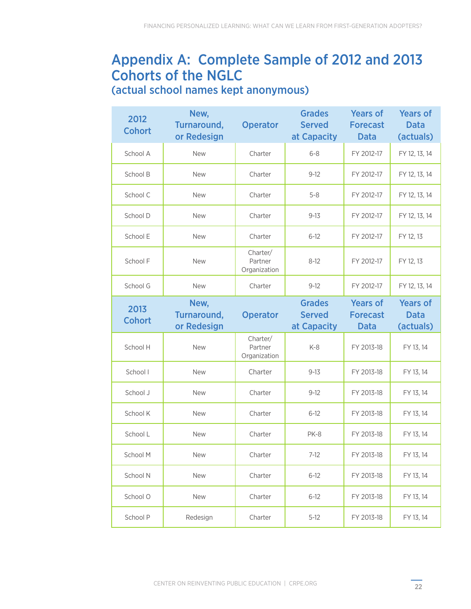# Appendix A: Complete Sample of 2012 and 2013 Cohorts of the NGLC

(actual school names kept anonymous)

| 2012<br><b>Cohort</b> | New,<br>Turnaround,<br>or Redesign | <b>Operator</b>                     | <b>Grades</b><br><b>Served</b><br>at Capacity | <b>Years of</b><br><b>Forecast</b><br><b>Data</b> | <b>Years of</b><br><b>Data</b><br>(actuals) |
|-----------------------|------------------------------------|-------------------------------------|-----------------------------------------------|---------------------------------------------------|---------------------------------------------|
| School A              | <b>New</b>                         | Charter                             | $6 - 8$                                       | FY 2012-17                                        | FY 12, 13, 14                               |
| School B              | <b>New</b>                         | Charter                             | $9 - 12$                                      | FY 2012-17                                        | FY 12, 13, 14                               |
| School C              | <b>New</b>                         | Charter                             | $5 - 8$                                       | FY 2012-17                                        | FY 12, 13, 14                               |
| School D              | <b>New</b>                         | Charter                             | $9 - 13$                                      | FY 2012-17                                        | FY 12, 13, 14                               |
| School E              | <b>New</b>                         | Charter                             | $6 - 12$                                      | FY 2012-17                                        | FY 12, 13                                   |
| School F              | <b>New</b>                         | Charter/<br>Partner<br>Organization | $8 - 12$                                      | FY 2012-17                                        | FY 12, 13                                   |
| School G              | <b>New</b>                         | Charter                             | $9 - 12$                                      | FY 2012-17                                        | FY 12, 13, 14                               |
| 2013                  | New,<br>Turnaround,                | <b>Operator</b>                     | <b>Grades</b><br><b>Served</b>                | <b>Years of</b><br><b>Forecast</b>                | <b>Years of</b><br><b>Data</b>              |
| <b>Cohort</b>         | or Redesign                        |                                     | at Capacity                                   | <b>Data</b>                                       | (actuals)                                   |
| School H              | <b>New</b>                         | Charter/<br>Partner<br>Organization | $K-8$                                         | FY 2013-18                                        | FY 13, 14                                   |
| School I              | <b>New</b>                         | Charter                             | $9 - 13$                                      | FY 2013-18                                        | FY 13, 14                                   |
| School J              | <b>New</b>                         | Charter                             | $9 - 12$                                      | FY 2013-18                                        | FY 13, 14                                   |
| School K              | <b>New</b>                         | Charter                             | $6 - 12$                                      | FY 2013-18                                        | FY 13, 14                                   |
| School L              | <b>New</b>                         | Charter                             | PK-8                                          | FY 2013-18                                        | FY 13, 14                                   |
| School M              | New                                | Charter                             | $7-12$                                        | FY 2013-18                                        | FY 13, 14                                   |
| School N              | New                                | Charter                             | $6 - 12$                                      | FY 2013-18                                        | FY 13, 14                                   |
| School O              | New                                | Charter                             | $6 - 12$                                      | FY 2013-18                                        | FY 13, 14                                   |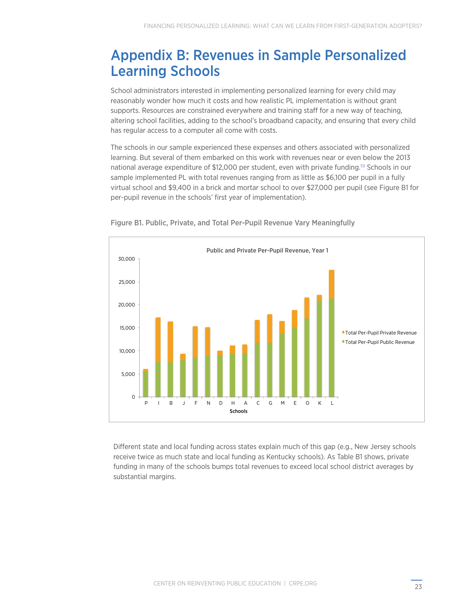# <span id="page-25-0"></span>Appendix B: Revenues in Sample Personalized Learning Schools

School administrators interested in implementing personalized learning for every child may reasonably wonder how much it costs and how realistic PL implementation is without grant supports. Resources are constrained everywhere and training staff for a new way of teaching, altering school facilities, adding to the school's broadband capacity, and ensuring that every child has regular access to a computer all come with costs.

The schools in our sample experienced these expenses and others associated with personalized learning. But several of them embarked on this work with revenues near or even below the 2013 national average expenditure of \$12,000 per student, even with private funding.[53](#page-31-9) Schools in our sample implemented PL with total revenues ranging from as little as \$6,100 per pupil in a fully virtual school and \$9,400 in a brick and mortar school to over \$27,000 per pupil (see Figure B1 for per-pupil revenue in the schools' first year of implementation).



Figure B1. Public, Private, and Total Per-Pupil Revenue Vary Meaningfully

Different state and local funding across states explain much of this gap (e.g., New Jersey schools receive twice as much state and local funding as Kentucky schools). As Table B1 shows, private funding in many of the schools bumps total revenues to exceed local school district averages by substantial margins.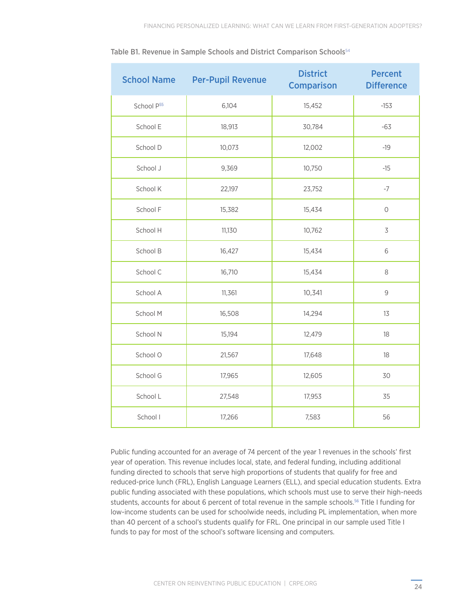| <b>School Name</b> | <b>Per-Pupil Revenue</b> | <b>District</b><br><b>Comparison</b> | <b>Percent</b><br><b>Difference</b> |
|--------------------|--------------------------|--------------------------------------|-------------------------------------|
| School P55         | 6,104                    | 15,452                               | $-153$                              |
| School E           | 18,913                   | 30,784                               | $-63$                               |
| School D           | 10,073                   | 12,002                               | $-19$                               |
| School J           | 9,369                    | 10,750                               | $-15$                               |
| School K           | 22,197                   | 23,752                               | $-7$                                |
| School F           | 15,382                   | 15,434                               | $\bigcirc$                          |
| School H           | 11,130                   | 10,762                               | $\overline{\mathcal{S}}$            |
| School B           | 16,427                   | 15,434                               | 6                                   |
| School C           | 16,710                   | 15,434                               | 8                                   |
| School A           | 11,361                   | 10,341                               | $\mathcal{G}$                       |
| School M           | 16,508                   | 14,294                               | 13                                  |
| School N           | 15,194                   | 12,479                               | 18                                  |
| School O           | 21,567                   | 17,648                               | 18                                  |
| School G           | 17,965                   | 12,605                               | 30                                  |
| School L           | 27,548                   | 17,953                               | 35                                  |
| School I           | 17,266                   | 7,583                                | 56                                  |

<span id="page-26-0"></span>Table B1. Revenue in Sample Schools and District Comparison Schools<sup>[54](#page-31-10)</sup>

Public funding accounted for an average of 74 percent of the year 1 revenues in the schools' first year of operation. This revenue includes local, state, and federal funding, including additional funding directed to schools that serve high proportions of students that qualify for free and reduced-price lunch (FRL), English Language Learners (ELL), and special education students. Extra public funding associated with these populations, which schools must use to serve their high-needs students, accounts for about 6 percent of total revenue in the sample schools.[56](#page-31-11) Title I funding for low-income students can be used for schoolwide needs, including PL implementation, when more than 40 percent of a school's students qualify for FRL. One principal in our sample used Title I funds to pay for most of the school's software licensing and computers.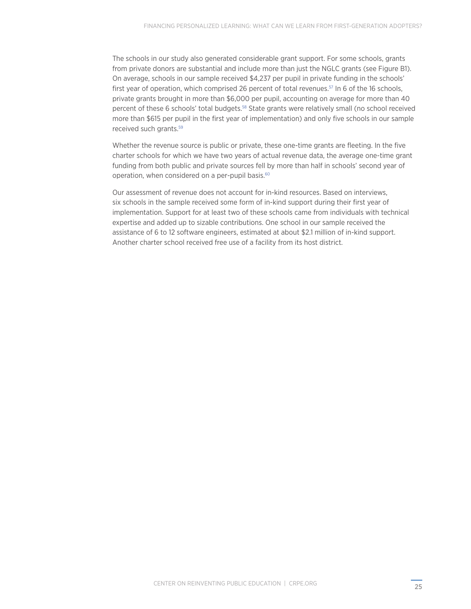<span id="page-27-0"></span>The schools in our study also generated considerable grant support. For some schools, grants from private donors are substantial and include more than just the NGLC grants (see Figure B1). On average, schools in our sample received \$4,237 per pupil in private funding in the schools' first year of operation, which comprised 26 percent of total revenues.<sup>[57](#page-31-13)</sup> In 6 of the 16 schools, private grants brought in more than \$6,000 per pupil, accounting on average for more than 40 percent of these 6 schools' total budgets.[58](#page-31-14) State grants were relatively small (no school received more than \$615 per pupil in the first year of implementation) and only five schools in our sample received such grants[.59](#page-31-15)

Whether the revenue source is public or private, these one-time grants are fleeting. In the five charter schools for which we have two years of actual revenue data, the average one-time grant funding from both public and private sources fell by more than half in schools' second year of operation, when considered on a per-pupil basis.<sup>[60](#page-31-16)</sup>

Our assessment of revenue does not account for in-kind resources. Based on interviews, six schools in the sample received some form of in-kind support during their first year of implementation. Support for at least two of these schools came from individuals with technical expertise and added up to sizable contributions. One school in our sample received the assistance of 6 to 12 software engineers, estimated at about \$2.1 million of in-kind support. Another charter school received free use of a facility from its host district.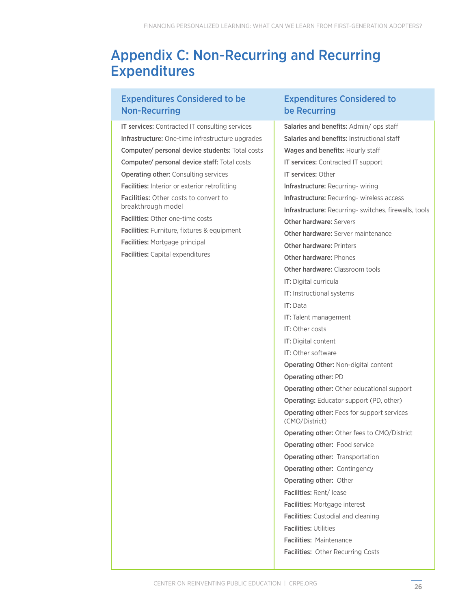# Appendix C: Non-Recurring and Recurring Expenditures

### Expenditures Considered to be Non-Recurring

IT services: Contracted IT consulting services Infrastructure: One-time infrastructure upgrades Computer/ personal device students: Total costs Computer/ personal device staff: Total costs Operating other: Consulting services Facilities: Interior or exterior retrofitting Facilities: Other costs to convert to breakthrough model Facilities: Other one-time costs Facilities: Furniture, fixtures & equipment Facilities: Mortgage principal Facilities: Capital expenditures

### Expenditures Considered to be Recurring

Salaries and benefits: Admin/ ops staff Salaries and benefits: Instructional staff Wages and benefits: Hourly staff IT services: Contracted IT support IT services: Other Infrastructure: Recurring- wiring Infrastructure: Recurring- wireless access Infrastructure: Recurring- switches, firewalls, tools Other hardware: Servers Other hardware: Server maintenance Other hardware: Printers Other hardware: Phones Other hardware: Classroom tools IT: Digital curricula IT: Instructional systems IT: Data IT: Talent management IT: Other costs IT: Digital content IT: Other software Operating Other: Non-digital content Operating other: PD Operating other: Other educational support Operating: Educator support (PD, other) Operating other: Fees for support services (CMO/District) Operating other: Other fees to CMO/District Operating other: Food service Operating other: Transportation Operating other: Contingency Operating other: Other Facilities: Rent/ lease Facilities: Mortgage interest Facilities: Custodial and cleaning Facilities: Utilities Facilities: Maintenance Facilities: Other Recurring Costs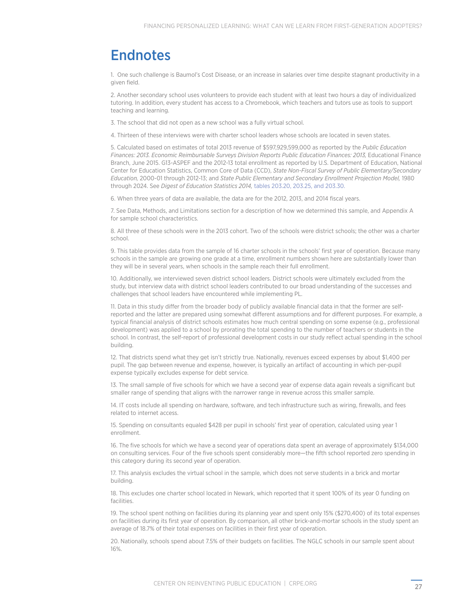# **Endnotes**

<span id="page-29-0"></span>1. [One such challenge is Baumol's Cost Disease, or an increase in salaries over time despite stagnant productivity in a](#page-5-0) [given field.](#page-5-0)

<span id="page-29-3"></span>[2. Another secondary school uses volunteers to provide each student with at least two hours a day of individualized](#page-6-0) [tutoring. In addition, every student has access to a Chromebook, which teachers and tutors use as tools to support](#page-6-0) [teaching and learning.](#page-6-0)

<span id="page-29-1"></span>[3. The school that did not open as a new school was a fully virtual school.](#page-6-0)

<span id="page-29-2"></span>[4. Thirteen of these interviews were with charter school leaders whose schools are located in seven states.](#page-6-0)

<span id="page-29-4"></span>[5. Calculated based on estimates of total 2013 revenue of \\$597,929,599,000 as reported by the](#page-7-0) *Public Education [Finances: 2013. Economic Reimbursable Surveys Division Reports Public Education Finances: 2013,](#page-7-0)* Educational Finance [Branch, June 2015. G13-ASPEF and the 2012-13 total enrollment as reported by U.S. Department of Education, National](#page-7-0) [Center for Education Statistics, Common Core of Data \(CCD\),](#page-7-0) *State Non-Fiscal Survey of Public Elementary/Secondary Education,* 2000-01 through 2012-13; and *[State Public Elementary and Secondary Enrollment Projection Model,](#page-7-0)* 1980 through 2024. See *[Digest of Education Statistics 2014,](#page-7-0)* [tables 203.20, 203.25, and 203.30.](http://nces.ed.gov/programs/coe/indicator_cga.asp#info)

<span id="page-29-5"></span>[6. When three years of data are available, the data are for the 2012, 2013, and 2014 fiscal years.](#page-4-0)

<span id="page-29-6"></span>[7. See Data, Methods, and Limitations section for a description of how we determined this sample, and Appendix A](#page-7-0) [for sample school characteristics.](#page-7-0)

<span id="page-29-7"></span>[8. All three of these schools were in the 2013 cohort. Two of the schools were district schools; the other was a charter](#page-8-0) [school.](#page-8-0)

<span id="page-29-8"></span>[9. This table provides data from the sample of 16 charter schools in the schools' first year of operation. Because many](#page-9-0) [schools in the sample are growing one grade at a time, enrollment numbers shown here are substantially lower than](#page-9-0) [they will be in several years, when schools in the sample reach their full enrollment.](#page-9-0)

<span id="page-29-9"></span>[10. Additionally, we interviewed seven district school leaders. District schools were ultimately excluded from the](#page-10-0) [study, but interview data with district school leaders contributed to our broad understanding of the successes and](#page-10-0) [challenges that school leaders have encountered while implementing PL.](#page-10-0)

<span id="page-29-10"></span>[11. Data in this study differ from the broader body of publicly available financial data in that the former are self](#page-10-0)[reported and the latter are prepared using somewhat different assumptions and for different purposes. For example, a](#page-10-0) [typical financial analysis of district schools estimates how much central spending on some expense \(e.g., professional](#page-10-0) [development\) was applied to a school by prorating the total spending to the number of teachers or students in the](#page-10-0) [school. In contrast, the self-report of professional development costs in our study reflect actual spending in the school](#page-10-0) [building.](#page-10-0)

<span id="page-29-11"></span>[12. That districts spend what they get isn't strictly true. Nationally, revenues exceed expenses by about \\$1,400 per](#page-10-0) [pupil. The gap between revenue and expense, however, is typically an artifact of accounting in which per-pupil](#page-10-0) [expense typically excludes expense for debt service.](#page-10-0)

<span id="page-29-12"></span>[13. The small sample of five schools for which we have a second year of expense data again reveals a significant but](#page-10-0) [smaller range of spending that aligns with the narrower range in revenue across this smaller sample.](#page-10-0)

<span id="page-29-13"></span>[14. IT costs include all spending on hardware, software, and tech infrastructure such as wiring, firewalls, and fees](#page-10-0) [related to internet access.](#page-10-0)

<span id="page-29-14"></span>[15. Spending on consultants equaled \\$428 per pupil in schools' first year of operation, calculated using year 1](#page-11-0) [enrollment.](#page-11-0)

<span id="page-29-15"></span>[16. The five schools for which we have a second year of operations data spent an average of approximately \\$134,000](#page-11-0) [on consulting services. Four of the five schools spent considerably more—the fifth school reported zero spending in](#page-11-0) [this category during its second year of operation.](#page-11-0)

<span id="page-29-16"></span>[17. This analysis excludes the virtual school in the sample, which does not serve students in a brick and mortar](#page-11-0) [building.](#page-11-0)

<span id="page-29-17"></span>[18. This excludes one charter school located in Newark, which reported that it spent 100% of its year 0 funding on](#page-11-0) [facilities.](#page-11-0)

<span id="page-29-18"></span>[19. The school spent nothing on facilities during its planning year and spent only 15% \(\\$270,400\) of its total expenses](#page-11-0) [on facilities during its first year of operation. By comparison, all other brick-and-mortar schools in the study spent an](#page-11-0) [average of 18.7% of their total expenses on facilities in their first year of operation.](#page-11-0)

<span id="page-29-19"></span>[20. Nationally, schools spend about 7.5% of their budgets on facilities. The NGLC schools in our sample spent about](#page-11-0) [16%.](#page-11-0)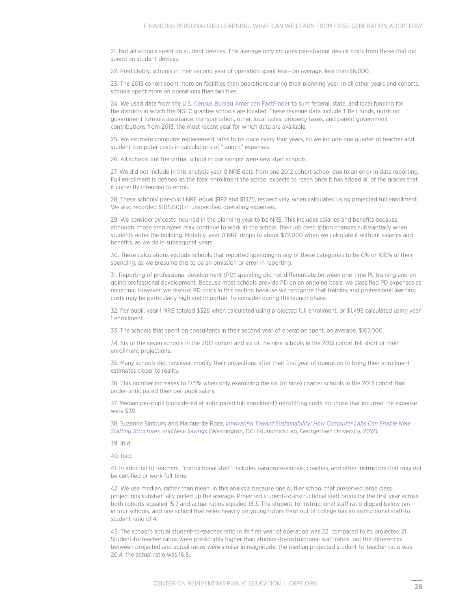<span id="page-30-0"></span>[21. Not all schools spent on student devices. This average only includes per-student device costs from those that did](#page-11-0)  [spend on student devices.](#page-11-0) 

<span id="page-30-1"></span>[22. Predictably, schools in their second year of operation spent less—on average, less than \\$6,000.](#page-11-0) 

<span id="page-30-2"></span>[23. The 2013 cohort spent more on facilities than operations during their planning year. In all other years and cohorts,](#page-12-0)  [schools spent more on operations than facilities.](#page-12-0) 

<span id="page-30-3"></span>[24. We used data from th](#page-12-0)e [U.S. Census Bureau American FactFinder](http://factfinder.census.gov/faces/tableservices/jsf/pages/productview.xhtml?pid=SSF_2013_SSF015.US52&prodType=table) [to sum federal, state, and local funding for](#page-12-0)  [the districts in which the NGLC grantee schools are located. These revenue data include Title I funds, nutrition,](#page-12-0)  [government formula assistance, transportation, other, local taxes, property taxes, and parent government](#page-12-0)  [contributions from 2013, the most recent year for which data are available.](#page-12-0) 

<span id="page-30-4"></span>[25. We estimate computer replacement rates to be once every four years, so we include one quarter of teacher and](#page-12-0)  [student computer costs in calculations of "launch" expenses.](#page-12-0)

<span id="page-30-5"></span>[26. All schools but the virtual school in our sample were new start schools.](#page-12-0)

<span id="page-30-6"></span>[27. We did not include in this analysis year 0 NRE data from one 2012 cohort school due to an error in data reporting.](#page-12-0)  [Full enrollment is defined as the total enrollment the school expects to reach once it has added all of the grades that](#page-12-0)  [it currently intended to enroll.](#page-12-0) 

<span id="page-30-7"></span>[28. These schools' per-pupil NRE equal \\$192 and \\$1,175, respectively, when calculated using projected full enrollment.](#page-12-0)  [We also recorded \\$105,000 in unspecified operating expenses.](#page-12-0)

<span id="page-30-8"></span>29. We consider *all* [costs incurred in the planning year to be NRE. This includes salaries and benefits because,](#page-13-0)  [although, those employees may continue to work at the school, their job description changes substantially when](#page-13-0)  [students enter the building. Notably, year 0 NRE drops to about \\$72,000 when we calculate it without salaries and](#page-13-0)  [benefits, as we do in subsequent years.](#page-13-0) 

<span id="page-30-9"></span>[30. These calculations exclude schools that reported spending in any of these categories to be 0% or 100% of their](#page-13-0)  [spending, as we presume this to be an omission or error in reporting.](#page-13-0)

<span id="page-30-12"></span>[31. Reporting of professional development \(PD\) spending did not differentiate between one-time PL training and on](#page-14-0)[going professional development. Because most schools provide PD on an ongoing basis, we classified PD expenses as](#page-14-0)  [recurring. However, we discuss PD costs in this section because we recognize that training and professional learning](#page-14-0)  [costs may be particularly high and important to consider during the launch phase.](#page-14-0) 

<span id="page-30-10"></span>[32. Per pupil, year 1 NRE totaled \\$326 when calculated using projected full enrollment, or \\$1,495 calculated using year](#page-14-0)  [1 enrollment.](#page-14-0)

<span id="page-30-11"></span>[33. The schools that spent on consultants in their second year of operation spent, on average, \\$167,000.](#page-14-0) 

<span id="page-30-13"></span>[34. Six of the seven schools in the 2012 cohort and six of the nine schools in the 2013 cohort fell short of their](#page-15-0)  [enrollment projections.](#page-15-0)

<span id="page-30-14"></span>[35. Many schools did, however, modify their projections after their first year of operation to bring their enrollment](#page-15-0)  [estimates closer to reality.](#page-15-0)

<span id="page-30-15"></span>[36. This number increases to 17.5% when only examining the six \(of nine\) charter schools in the 2013 cohort that](#page-16-0)  [under-anticipated their per-pupil salary.](#page-16-0) 

<span id="page-30-16"></span>[37. Median per-pupil \(considered at anticipated full enrollment\) retrofitting costs for those that incurred the expense](#page-16-0)  [were \\$30.](#page-16-0)

<span id="page-30-17"></span>[38. Suzanne Simburg and Marguerite Roza,](#page-16-0) *[Innovating Toward Sustainability: How Computer Labs Can Enable New](http://edunomicslab.org/innovating-toward-sustainability-computer-labs-can-enable-new-staffing-structures-new-savings/)  [Staffing Structures, and New Savings](http://edunomicslab.org/innovating-toward-sustainability-computer-labs-can-enable-new-staffing-structures-new-savings/)* ([Washington, DC: Edunomics Lab, Georgetown University, 2012\).](#page-16-0)

<span id="page-30-18"></span>[39. Ibid.](#page-16-0)

<span id="page-30-19"></span>[40. Ibid.](#page-16-0)

<span id="page-30-20"></span>[41. In addition to teachers, "instructional staff" includes paraprofessionals, coaches, and other instructors that may not](#page-16-0)  [be certified or work full-time.](#page-16-0)

<span id="page-30-21"></span>[42. We use median, rather than mean, in this analysis because one outlier school that preserved large class](#page-16-0)  [projections substantially pulled up the average. Projected student-to-instructional staff ratios for the first year across](#page-16-0)  [both cohorts equaled 15.7 and actual ratios equaled 13.3. The student-to-instructional staff ratio dipped below ten](#page-16-0)  [in four schools, and one school that relies heavily on young tutors fresh out of college has an instructional staff-to](#page-16-0)  [student ratio of 4.](#page-16-0) 

<span id="page-30-22"></span>[43. The school's actual student-to-teacher ratio in its first year of operation was 22, compared to its projected 21.](#page-16-0)  [Student-to-teacher ratios were predictably higher than student-to-instructional staff ratios, but the differences](#page-16-0)  [between projected and actual ratios were similar in magnitude: the median projected student-to-teacher ratio was](#page-16-0)  [20.4, the actual ratio was 16.8.](#page-16-0)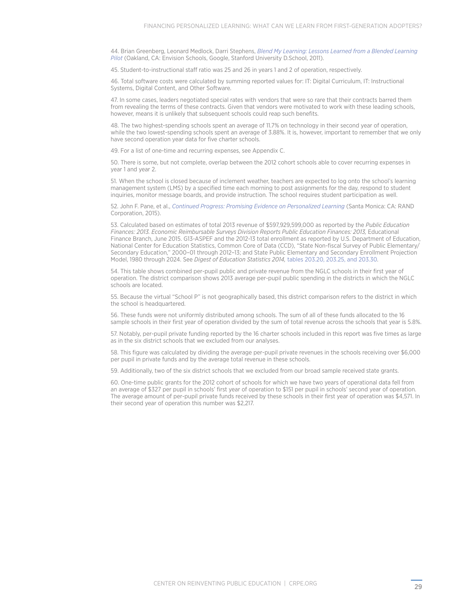<span id="page-31-0"></span>[44. Brian Greenberg, Leonard Medlock, Darri Stephens,](#page-17-0) *[Blend My Learning: Lessons Learned from a Blended Learning](http://www.blendmylearning.com/2011/12/06/white-paper/)  [Pilot](http://www.blendmylearning.com/2011/12/06/white-paper/)* [\(Oakland, CA: Envision Schools, Google, Stanford University D.School, 2011\).](#page-17-0) 

<span id="page-31-1"></span>[45. Student-to-instructional staff ratio was 25 and 26 in years 1 and 2 of operation, respectively.](#page-17-0)

<span id="page-31-2"></span>[46. Total software costs were calculated by summing reported values for: IT: Digital Curriculum, IT: Instructional](#page-17-0)  [Systems, Digital Content, and Other Software.](#page-17-0) 

<span id="page-31-3"></span>[47. In some cases, leaders negotiated special rates with vendors that were so rare that their contracts barred them](#page-17-0)  [from revealing the terms of these contracts. Given that vendors were motivated to work with these leading schools,](#page-17-0)  [however, means it is unlikely that subsequent schools could reap such benefits.](#page-17-0) 

<span id="page-31-4"></span>[48. The two highest-spending schools spent an average of 11.7% on technology in their second year of operation,](#page-18-0)  while the two lowest-spending schools spent an average of 3.88%. It is, however, important to remember that we only [have second operation year data for five charter schools.](#page-18-0) 

<span id="page-31-5"></span>[49. For a list of one-time and recurring expenses, see Appendix C.](#page-20-0)

<span id="page-31-6"></span>[50. There is some, but not complete, overlap between the 2012 cohort schools able to cover recurring expenses in](#page-20-0)  [year 1 and year 2.](#page-20-0)

<span id="page-31-8"></span>[51. When the school is closed because of inclement weather, teachers are expected to log onto the school's learning](#page-22-0)  [management system \(LMS\) by a specified time each morning to post assignments for the day, respond to student](#page-22-0)  [inquiries, monitor message boards, and provide instruction. The school requires student participation as well.](#page-22-0)

<span id="page-31-7"></span>[52. John F. Pane, et a](#page-22-0)l., *[Continued Progress: Promising Evidence on Personalized Learning](http://www.rand.org/content/dam/rand/pubs/research_reports/RR1300/RR1365/RAND_RR1365.pdf)* [\(Santa Monica: CA: RAND](#page-22-0)  [Corporation, 2015\).](#page-22-0)

<span id="page-31-9"></span>[53. Calculated based on estimates of total 2013 revenue of \\$597,929,599,000 as reported by the](#page-25-0) *Public Education*  [Finances: 2013. Economic Reimbursable Surveys Division Reports Public Education Finances: 2013,](#page-25-0) Educational [Finance Branch, June 2015. G13-ASPEF and the 2012-13 total enrollment as reported by U.S. Department of Education,](#page-25-0)  [National Center for Education Statistics, Common Core of Data \(CCD\), "State Non-fiscal Survey of Public Elementary/](#page-25-0) [Secondary Education," 2000–01 through 2012–13; and State Public Elementary and Secondary Enrollment Projection](#page-25-0)  Model, 1980 through 2024. See *[Digest of Education Statistics 201](#page-25-0)4,* [tables 203.20, 203.25, and 203.30.](http://nces.ed.gov/programs/coe/indicator_cga.asp#info)

<span id="page-31-10"></span>[54. This table shows combined per-pupil public and private revenue from the NGLC schools in their first year of](#page-26-0)  [operation. The district comparison shows 2013 average per-pupil public spending in the districts in which the NGLC](#page-26-0)  [schools are located.](#page-26-0)

<span id="page-31-12"></span>[55. Because the virtual "School P" is not geographically based, this district comparison refers to the district in which](#page-26-0)  [the school is headquartered.](#page-26-0)

<span id="page-31-11"></span>[56. These funds were not uniformly distributed among schools. The sum of all of these funds allocated to the 16](#page-26-0)  [sample schools in their first year of operation divided by the sum of total revenue across the schools that year is 5.8%.](#page-26-0)

<span id="page-31-13"></span>[57. Notably, per-pupil private funding reported by the 16 charter schools included in this report was five times as large](#page-27-0)  [as in the six district schools that we excluded from our analyses.](#page-27-0)

<span id="page-31-14"></span>[58. This figure was calculated by dividing the average per-pupil private revenues in the schools receiving over \\$6,000](#page-27-0)  [per pupil in private funds and by the average total revenue in these schools.](#page-27-0)

<span id="page-31-15"></span>[59. Additionally, two of the six district schools that we excluded from our broad sample received state grants.](#page-27-0)

<span id="page-31-16"></span>[60. One-time public grants for the 2012 cohort of schools for which we have two years of operational data fell from](#page-27-0)  [an average of \\$327 per pupil in schools' first year of operation to \\$151 per pupil in schools' second year of operation.](#page-27-0)  [The average amount of per-pupil private funds received by these schools in their first year of operation was \\$4,571. In](#page-27-0)  [their second year of operation this number was \\$2,217.](#page-27-0)